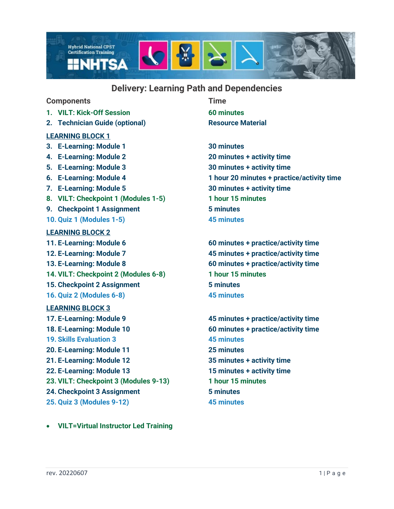

# **Delivery: Learning Path and Dependencies**

## **Components Time**

- **1. VILT: Kick-Off Session 60 minutes**
- **2. Technician Guide (optional) <b>Resource Material**

### **LEARNING BLOCK 1**

- **3. E-Learning: Module 1 30 minutes**
- **4. E-Learning: Module 2 20 minutes + activity time**
- 
- 
- 
- **8. VILT: Checkpoint 1 (Modules 1-5) 1 hour 15 minutes**
- **9. Checkpoint 1 Assignment 5 minutes**
- **10. Quiz 1 (Modules 1-5) 45 minutes**

### **LEARNING BLOCK 2**

- 
- 
- 
- **14. VILT: Checkpoint 2 (Modules 6-8) 1 hour 15 minutes**
- **15. Checkpoint 2 Assignment 5 minutes**
- **16. Quiz 2 (Modules 6-8) 45 minutes**

#### **LEARNING BLOCK 3**

**17. E-Learning: Module 9 45 minutes + practice/activity time 18. E-Learning: Module 10 60 minutes + practice/activity time 19. Skills Evaluation 3 45 minutes 20. E-Learning: Module 11 25 minutes 21. E-Learning: Module 12 35 minutes + activity time 22. E-Learning: Module 13 15 minutes + activity time 23. VILT: Checkpoint 3 (Modules 9-13) 1 hour 15 minutes 24. Checkpoint 3 Assignment 5 minutes 25. Quiz 3 (Modules 9-12) 45 minutes**

- 
- 
- **5. E-Learning: Module 3 30 minutes + activity time 6. E-Learning: Module 4 1 hour 20 minutes + practice/activity time 7. E-Learning: Module 5 30 minutes + activity time**

**11. E-Learning: Module 6 60 minutes + practice/activity time 12. E-Learning: Module 7 45 minutes + practice/activity time 13. E-Learning: Module 8 60 minutes + practice/activity time**

• **VILT=Virtual Instructor Led Training**